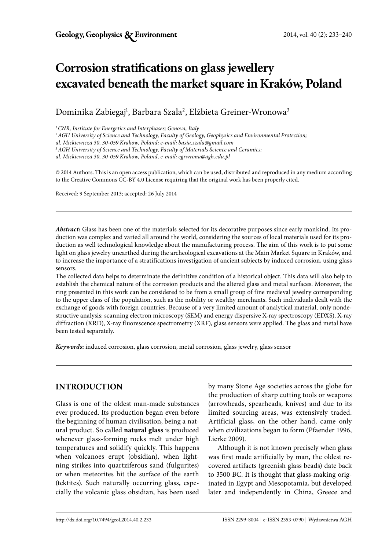# **Corrosion stratifications on glass jewellery excavated beneath the market square in Kraków, Poland**

Dominika Zabiegaj<sup>1</sup>, Barbara Szala<sup>2</sup>, Elżbieta Greiner-Wronowa<sup>3</sup>

*1 CNR, Institute for Energetics and Interphases; Genova, Italy* 

*2 AGH University of Science and Technology, Faculty of Geology, Geophysics and Environmental Protection;*

*al. Mickiewicza 30, 30-059 Krakow, Poland; e-mail: basia.szala@gmail.com*

*3 AGH University of Science and Technology, Faculty of Materials Science and Ceramics;* 

*al. Mickiewicza 30, 30-059 Krakow, Poland, e-mail: egrwrona@agh.edu.pl*

© 2014 Authors. This is an open access publication, which can be used, distributed and reproduced in any medium according to the Creative Commons CC-BY 4.0 License requiring that the original work has been properly cited.

Received: 9 September 2013; accepted: 26 July 2014

*Abstract:* Glass has been one of the materials selected for its decorative purposes since early mankind. Its production was complex and varied all around the world, considering the sources of local materials used for its production as well technological knowledge about the manufacturing process. The aim of this work is to put some light on glass jewelry unearthed during the archeological excavations at the Main Market Square in Kraków, and to increase the importance of a stratifications investigation of ancient subjects by induced corrosion, using glass sensors.

The collected data helps to determinate the definitive condition of a historical object. This data will also help to establish the chemical nature of the corrosion products and the altered glass and metal surfaces. Moreover, the ring presented in this work can be considered to be from a small group of fine medieval jewelry corresponding to the upper class of the population, such as the nobility or wealthy merchants. Such individuals dealt with the exchange of goods with foreign countries. Because of a very limited amount of analytical material, only nondestructive analysis: scanning electron microscopy (SEM) and energy dispersive X-ray spectroscopy (EDXS), X-ray diffraction (XRD), X-ray fluorescence spectrometry (XRF), glass sensors were applied. The glass and metal have been tested separately.

*Keywords***:** induced corrosion, glass corrosion, metal corrosion, glass jewelry, glass sensor

## **INTRODUCTION**

Glass is one of the oldest man-made substances ever produced. Its production began even before the beginning of human civilisation, being a natural product. So called **natural glass** is produced whenever glass-forming rocks melt under high temperatures and solidify quickly. This happens when volcanoes erupt (obsidian), when lightning strikes into quartziferous sand (fulgurites) or when meteorites hit the surface of the earth (tektites). Such naturally occurring glass, especially the volcanic glass obsidian, has been used by many Stone Age societies across the globe for the production of sharp cutting tools or weapons (arrowheads, spearheads, knives) and due to its limited sourcing areas, was extensively traded. Artificial glass, on the other hand, came only when civilizations began to form (Pfaender 1996, Lierke 2009).

Although it is not known precisely when glass was first made artificially by man, the oldest recovered artifacts (greenish glass beads) date back to 3500 BC. It is thought that glass-making originated in Egypt and Mesopotamia, but developed later and independently in China, Greece and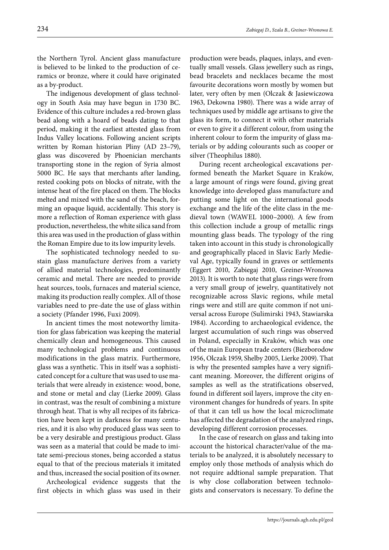the Northern Tyrol. Ancient glass manufacture is believed to be linked to the production of ceramics or bronze, where it could have originated as a by-product.

The indigenous development of glass technology in South Asia may have begun in 1730 BC. Evidence of this culture includes a red-brown glass bead along with a hoard of beads dating to that period, making it the earliest attested glass from Indus Valley locations. Following ancient scripts written by Roman historian Pliny (AD 23–79), glass was discovered by Phoenician merchants transporting stone in the region of Syria almost 5000 BC. He says that merchants after landing, rested cooking pots on blocks of nitrate, with the intense heat of the fire placed on them. The blocks melted and mixed with the sand of the beach, forming an opaque liquid, accidentally. This story is more a reflection of Roman experience with glass production, nevertheless, the white silica sand from this area was used in the production of glass within the Roman Empire due to its low impurity levels.

The sophisticated technology needed to sustain glass manufacture derives from a variety of allied material technologies, predominantly ceramic and metal. There are needed to provide heat sources, tools, furnaces and material science, making its production really complex. All of those variables need to pre-date the use of glass within a society (Pfander 1996, Fuxi 2009).

In ancient times the most noteworthy limitation for glass fabrication was keeping the material chemically clean and homogeneous. This caused many technological problems and continuous modifications in the glass matrix. Furthermore, glass was a synthetic. This in itself was a sophisticated concept for a culture that was used to use materials that were already in existence: wood, bone, and stone or metal and clay (Lierke 2009). Glass in contrast, was the result of combining a mixture through heat. That is why all recipes of its fabrication have been kept in darkness for many centuries, and it is also why produced glass was seen to be a very desirable and prestigious product. Glass was seen as a material that could be made to imitate semi-precious stones, being accorded a status equal to that of the precious materials it imitated and thus, increased the social position of its owner.

Archeological evidence suggests that the first objects in which glass was used in their production were beads, plaques, inlays, and eventually small vessels. Glass jewellery such as rings, bead bracelets and necklaces became the most favourite decorations worn mostly by women but later, very often by men (Olczak & Jasiewiczowa 1963, Dekowna 1980). There was a wide array of techniques used by middle age artisans to give the glass its form, to connect it with other materials or even to give it a different colour, from using the inherent colour to form the impurity of glass materials or by adding colourants such as cooper or silver (Theophilus 1880).

During recent archeological excavations performed beneath the Market Square in Kraków, a large amount of rings were found, giving great knowledge into developed glass manufacture and putting some light on the international goods exchange and the life of the elite class in the medieval town (WAWEL 1000–2000). A few from this collection include a group of metallic rings mounting glass beads. The typology of the ring taken into account in this study is chronologically and geographically placed in Slavic Early Medieval Age, typically found in graves or settlements (Eggert 2010, Zabiegaj 2010, Greiner-Wronowa 2013). It is worth to note that glass rings were from a very small group of jewelry, quantitatively not recognizable across Slavic regions, while metal rings were and still are quite common if not universal across Europe (Sulimirski 1943, Stawiarska 1984). According to archaeological evidence, the largest accumulation of such rings was observed in Poland, especially in Kraków, which was one of the main European trade centers (Biezborodow 1956, Olczak 1959, Shelby 2005, Lierke 2009). That is why the presented samples have a very significant meaning. Moreover, the different origins of samples as well as the stratifications observed, found in different soil layers, improve the city environment changes for hundreds of years. In spite of that it can tell us how the local microclimate has affected the degradation of the analyzed rings, developing different corrosion processes.

In the case of research on glass and taking into account the historical character/value of the materials to be analyzed, it is absolutely necessary to employ only those methods of analysis which do not require addtional sample preparation. That is why close collaboration between technologists and conservators is necessary. To define the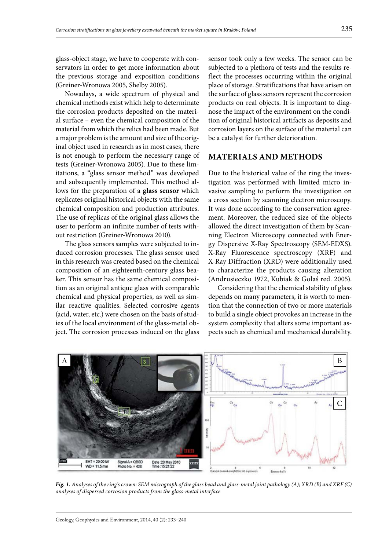glass-object stage, we have to cooperate with conservators in order to get more information about the previous storage and exposition conditions (Greiner-Wronowa 2005, Shelby 2005).

Nowadays, a wide spectrum of physical and chemical methods exist which help to determinate the corrosion products deposited on the material surface – even the chemical composition of the material from which the relics had been made. But a major problem is the amount and size of the original object used in research as in most cases, there is not enough to perform the necessary range of tests (Greiner-Wronowa 2005). Due to these limitations, a "glass sensor method" was developed and subsequently implemented. This method allows for the preparation of a **glass sensor** which replicates original historical objects with the same chemical composition and production attributes. The use of replicas of the original glass allows the user to perform an infinite number of tests without restriction (Greiner-Wronowa 2010).

The glass sensors samples were subjected to induced corrosion processes. The glass sensor used in this research was created based on the chemical composition of an eighteenth-century glass beaker. This sensor has the same chemical composition as an original antique glass with comparable chemical and physical properties, as well as similar reactive qualities. Selected corrosive agents (acid, water, etc.) were chosen on the basis of studies of the local environment of the glass-metal object. The corrosion processes induced on the glass sensor took only a few weeks. The sensor can be subjected to a plethora of tests and the results reflect the processes occurring within the original place of storage. Stratifications that have arisen on the surface of glass sensors represent the corrosion products on real objects. It is important to diagnose the impact of the environment on the condition of original historical artifacts as deposits and corrosion layers on the surface of the material can be a catalyst for further deterioration.

## **MATERIALS AND METHODS**

Due to the historical value of the ring the investigation was performed with limited micro invasive sampling to perform the investigation on a cross section by scanning electron microscopy. It was done according to the conservation agreement. Moreover, the reduced size of the objects allowed the direct investigation of them by Scanning Electron Microscopy connected with Energy Dispersive X-Ray Spectroscopy (SEM-EDXS). X-Ray Fluorescence spectroscopy (XRF) and X-Ray Diffraction (XRD) were additionally used to characterize the products causing alteration (Andrusieczko 1972, Kubiak & Gołaś red. 2005).

Considering that the chemical stability of glass depends on many parameters, it is worth to mention that the connection of two or more materials to build a single object provokes an increase in the system complexity that alters some important aspects such as chemical and mechanical durability.



*Fig. 1. Analyses of the ring's crown: SEM micrograph of the glass bead and glass-metal joint pathology (A); XRD (B) and XRF (C) analyses of dispersed corrosion products from the glass-metal interface*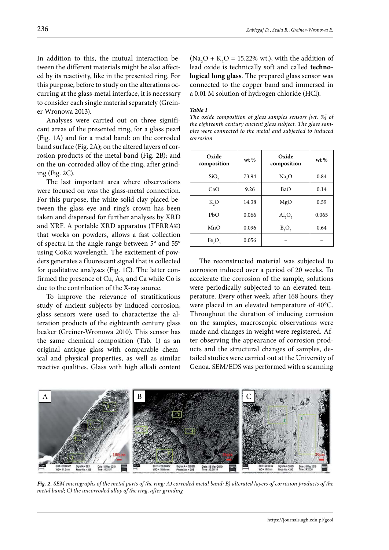In addition to this, the mutual interaction between the different materials might be also affected by its reactivity, like in the presented ring. For this purpose, before to study on the alterations occurring at the glass-metal interface, it is necessary to consider each single material separately (Greiner-Wronowa 2013).

Analyses were carried out on three significant areas of the presented ring, for a glass pearl (Fig. 1A) and for a metal band: on the corroded band surface (Fig. 2A); on the altered layers of corrosion products of the metal band (Fig. 2B); and on the un-corroded alloy of the ring, after grinding (Fig. 2C).

The last important area where observations were focused on was the glass-metal connection. For this purpose, the white solid clay placed between the glass eye and ring's crown has been taken and dispersed for further analyses by XRD and XRF. A portable XRD apparatus (TERRA©) that works on powders, allows a fast collection of spectra in the angle range between 5° and 55° using CoKα wavelength. The excitement of powders generates a fluorescent signal that is collected for qualitative analyses (Fig. 1C). The latter confirmed the presence of Cu, As, and Ca while Co is due to the contribution of the X-ray source.

To improve the relevance of stratifications study of ancient subjects by induced corrosion, glass sensors were used to characterize the alteration products of the eighteenth century glass beaker (Greiner-Wronowa 2010). This sensor has the same chemical composition (Tab. 1) as an original antique glass with comparable chemical and physical properties, as well as similar reactive qualities. Glass with high alkali content

 $(Na<sub>2</sub>O + K<sub>2</sub>O = 15.22% wt.),$  with the addition of lead oxide is technically soft and called **technological long glass**. The prepared glass sensor was connected to the copper band and immersed in a 0.01 M solution of hydrogen chloride (HCl).

#### *Table 1*

*The oxide composition of glass samples sensors [wt. %] of the eighteenth century ancient glass subject. The glass samples were connected to the metal and subjected to induced corrosion*

| Oxide<br>composition           | wt %  | Oxide<br>composition    | wt %  |
|--------------------------------|-------|-------------------------|-------|
| SiO,                           | 73.94 | Na, O                   | 0.84  |
| CaO                            | 9.26  | <b>BaO</b>              | 0.14  |
| K,O                            | 14.38 | MgO                     | 0.59  |
| PbO                            | 0.066 | $\text{Al}_2\text{O}_3$ | 0.065 |
| MnO                            | 0.096 | $B_2O_3$                | 0.64  |
| Fe <sub>2</sub> O <sub>3</sub> | 0.056 |                         |       |

The reconstructed material was subjected to corrosion induced over a period of 20 weeks. To accelerate the corrosion of the sample, solutions were periodically subjected to an elevated temperature. Every other week, after 168 hours, they were placed in an elevated temperature of 40°C. Throughout the duration of inducing corrosion on the samples, macroscopic observations were made and changes in weight were registered. After observing the appearance of corrosion products and the structural changes of samples, detailed studies were carried out at the University of Genoa. SEM/EDS was performed with a scanning



*Fig. 2. SEM micrographs of the metal parts of the ring: A) corroded metal band; B) alterated layers of corrosion products of the metal band; C) the uncorroded alloy of the ring, after grinding*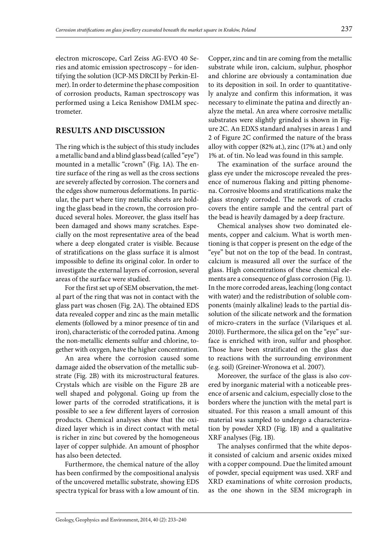electron microscope, Carl Zeiss AG-EVO 40 Series and atomic emission spectroscopy – for identifying the solution (ICP-MS DRCII by Perkin-Elmer). In order to determine the phase composition of corrosion products, Raman spectroscopy was performed using a Leica Renishow DMLM spectrometer.

## **RESULTS AND DISCUSSION**

The ring which is the subject of this study includes a metallic band and a blind glass bead (called "eye") mounted in a metallic "crown" (Fig. 1A). The entire surface of the ring as well as the cross sections are severely affected by corrosion. The corners and the edges show numerous deformations. In particular, the part where tiny metallic sheets are holding the glass bead in the crown, the corrosion produced several holes. Moreover, the glass itself has been damaged and shows many scratches. Especially on the most representative area of the bead where a deep elongated crater is visible. Because of stratifications on the glass surface it is almost impossible to define its original color. In order to investigate the external layers of corrosion, several areas of the surface were studied.

For the first set up of SEM observation, the metal part of the ring that was not in contact with the glass part was chosen (Fig. 2A). The obtained EDS data revealed copper and zinc as the main metallic elements (followed by a minor presence of tin and iron), characteristic of the corroded patina. Among the non-metallic elements sulfur and chlorine, together with oxygen, have the higher concentration.

An area where the corrosion caused some damage aided the observation of the metallic substrate (Fig. 2B) with its microstructural features. Crystals which are visible on the Figure 2B are well shaped and polygonal. Going up from the lower parts of the corroded stratifications, it is possible to see a few different layers of corrosion products. Chemical analyses show that the oxidized layer which is in direct contact with metal is richer in zinc but covered by the homogeneous layer of copper sulphide. An amount of phosphor has also been detected.

Furthermore, the chemical nature of the alloy has been confirmed by the compositional analysis of the uncovered metallic substrate, showing EDS spectra typical for brass with a low amount of tin.

Copper, zinc and tin are coming from the metallic substrate while iron, calcium, sulphur, phosphor and chlorine are obviously a contamination due to its deposition in soil. In order to quantitatively analyze and confirm this information, it was necessary to eliminate the patina and directly analyze the metal. An area where corrosive metallic substrates were slightly grinded is shown in Figure 2C. An EDXS standard analyses in areas 1 and 2 of Figure 2C confirmed the nature of the brass alloy with copper (82% at.), zinc (17% at.) and only 1% at. of tin. No lead was found in this sample.

The examination of the surface around the glass eye under the microscope revealed the presence of numerous flaking and pitting phenomena. Corrosive blooms and stratifications make the glass strongly corroded. The network of cracks covers the entire sample and the central part of the bead is heavily damaged by a deep fracture.

Chemical analyses show two dominated elements, copper and calcium. What is worth mentioning is that copper is present on the edge of the "eye" but not on the top of the bead. In contrast, calcium is measured all over the surface of the glass. High concentrations of these chemical elements are a consequence of glass corrosion (Fig. 1). In the more corroded areas, leaching (long contact with water) and the redistribution of soluble components (mainly alkaline) leads to the partial dissolution of the silicate network and the formation of micro-craters in the surface (Vilariques et al. 2010). Furthermore, the silica gel on the "eye" surface is enriched with iron, sulfur and phosphor. Those have been stratificated on the glass due to reactions with the surrounding environment (e.g. soil) (Greiner-Wronowa et al. 2007).

Moreover, the surface of the glass is also covered by inorganic material with a noticeable presence of arsenic and calcium, especially close to the borders where the junction with the metal part is situated. For this reason a small amount of this material was sampled to undergo a characterization by powder XRD (Fig. 1B) and a qualitative XRF analyses (Fig. 1B).

The analyses confirmed that the white deposit consisted of calcium and arsenic oxides mixed with a copper compound. Due the limited amount of powder, special equipment was used. XRF and XRD examinations of white corrosion products, as the one shown in the SEM micrograph in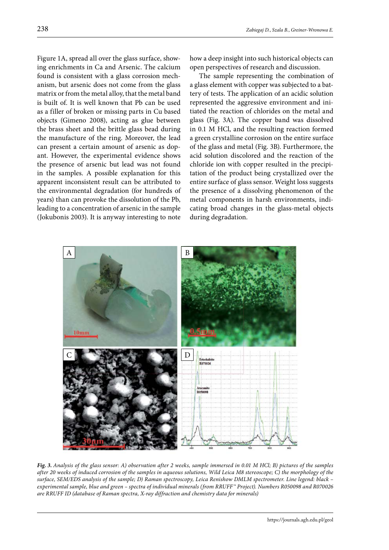Figure 1A, spread all over the glass surface, showing enrichments in Ca and Arsenic. The calcium found is consistent with a glass corrosion mechanism, but arsenic does not come from the glass matrix or from the metal alloy, that the metal band is built of. It is well known that Pb can be used as a filler of broken or missing parts in Cu based objects (Gimeno 2008), acting as glue between the brass sheet and the brittle glass bead during the manufacture of the ring. Moreover, the lead can present a certain amount of arsenic as dopant. However, the experimental evidence shows the presence of arsenic but lead was not found in the samples. A possible explanation for this apparent inconsistent result can be attributed to the environmental degradation (for hundreds of years) than can provoke the dissolution of the Pb, leading to a concentration of arsenic in the sample (Jokubonis 2003). It is anyway interesting to note how a deep insight into such historical objects can open perspectives of research and discussion.

The sample representing the combination of a glass element with copper was subjected to a battery of tests. The application of an acidic solution represented the aggressive environment and initiated the reaction of chlorides on the metal and glass (Fig. 3A). The copper band was dissolved in 0.1 M HCl, and the resulting reaction formed a green crystalline corrosion on the entire surface of the glass and metal (Fig. 3B). Furthermore, the acid solution discolored and the reaction of the chloride ion with copper resulted in the precipitation of the product being crystallized over the entire surface of glass sensor. Weight loss suggests the presence of a dissolving phenomenon of the metal components in harsh environments, indicating broad changes in the glass-metal objects during degradation.



*Fig. 3. Analysis of the glass sensor: A) observation after 2 weeks, sample immersed in 0.01 M HCl; B) pictures of the samples after 20 weeks of induced corrosion of the samples in aqueous solutions, Wild Leica M8 stereoscope; C) the morphology of the surface, SEM/EDS analysis of the sample; D) Raman spectroscopy, Leica Renishow DMLM spectrometer. Line legend: black – experimental sample, blue and green – spectra of individual minerals (from RRUFF™ Project). Numbers R050098 and R070026 are RRUFF ID (database of Raman spectra, X-ray diffraction and chemistry data for minerals)*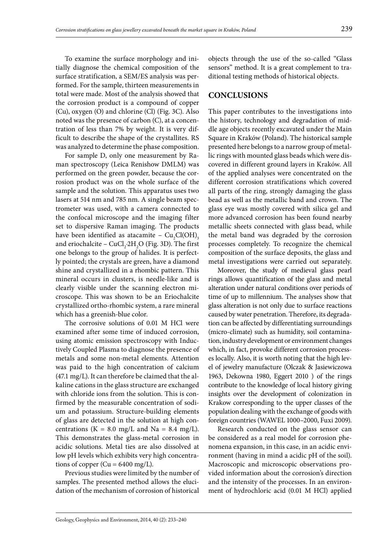To examine the surface morphology and initially diagnose the chemical composition of the surface stratification, a SEM/ES analysis was performed. For the sample, thirteen measurements in total were made. Most of the analysis showed that the corrosion product is a compound of copper (Cu), oxygen (O) and chlorine (Cl) (Fig. 3C). Also noted was the presence of carbon (C), at a concentration of less than 7% by weight. It is very difficult to describe the shape of the crystallites. RS was analyzed to determine the phase composition.

For sample D, only one measurement by Raman spectroscopy (Leica Renishow DMLM) was performed on the green powder, because the corrosion product was on the whole surface of the sample and the solution. This apparatus uses two lasers at 514 nm and 785 nm. A single beam spectrometer was used, with a camera connected to the confocal microscope and the imaging filter set to dispersive Raman imaging. The products have been identified as atacamite –  $\rm Cu_2Cl(OH)_3$ and eriochalcite –  $CuCl<sub>2</sub>·2H<sub>2</sub>O$  (Fig. 3D). The first one belongs to the group of halides. It is perfectly pointed; the crystals are green, have a diamond shine and crystallized in a rhombic pattern. This mineral occurs in clusters, is needle-like and is clearly visible under the scanning electron microscope. This was shown to be an Eriochalcite crystallized ortho-rhombic system, a rare mineral which has a greenish-blue color.

The corrosive solutions of 0.01 M HCl were examined after some time of induced corrosion, using atomic emission spectroscopy with Inductively Coupled Plasma to diagnose the presence of metals and some non-metal elements. Attention was paid to the high concentration of calcium (47.1 mg/L). It can therefore be claimed that the alkaline cations in the glass structure are exchanged with chloride ions from the solution. This is confirmed by the measurable concentration of sodium and potassium. Structure-building elements of glass are detected in the solution at high concentrations (K = 8.0 mg/L and Na = 8.4 mg/L). This demonstrates the glass-metal corrosion in acidic solutions. Metal ties are also dissolved at low pH levels which exhibits very high concentrations of copper ( $Cu = 6400$  mg/L).

Previous studies were limited by the number of samples. The presented method allows the elucidation of the mechanism of corrosion of historical

objects through the use of the so-called "Glass sensors" method. It is a great complement to traditional testing methods of historical objects.

### **CONCLUSIONS**

This paper contributes to the investigations into the history, technology and degradation of middle age objects recently excavated under the Main Square in Kraków (Poland). The historical sample presented here belongs to a narrow group of metallic rings with mounted glass beads which were discovered in different ground layers in Kraków. All of the applied analyses were concentrated on the different corrosion stratifications which covered all parts of the ring, strongly damaging the glass bead as well as the metallic band and crown. The glass eye was mostly covered with silica gel and more advanced corrosion has been found nearby metallic sheets connected with glass bead, while the metal band was degraded by the corrosion processes completely. To recognize the chemical composition of the surface deposits, the glass and metal investigations were carried out separately.

Moreover, the study of medieval glass pearl rings allows quantification of the glass and metal alteration under natural conditions over periods of time of up to millennium. The analyses show that glass alteration is not only due to surface reactions caused by water penetration. Therefore, its degradation can be affected by differentiating surroundings (micro-climate) such as humidity, soil contamination, industry development or environment changes which, in fact, provoke different corrosion processes locally. Also, it is worth noting that the high level of jewelry manufacture (Olczak & Jasiewiczowa 1963, Dekowna 1980, Eggert 2010 ) of the rings contribute to the knowledge of local history giving insights over the development of colonization in Krakow corresponding to the upper classes of the population dealing with the exchange of goods with foreign countries (WAWEL 1000–2000, Fuxi 2009).

Research conducted on the glass sensor can be considered as a real model for corrosion phenomena expansion, in this case, in an acidic environment (having in mind a acidic pH of the soil). Macroscopic and microscopic observations provided information about the corrosion's direction and the intensity of the processes. In an environment of hydrochloric acid (0.01 M HCl) applied